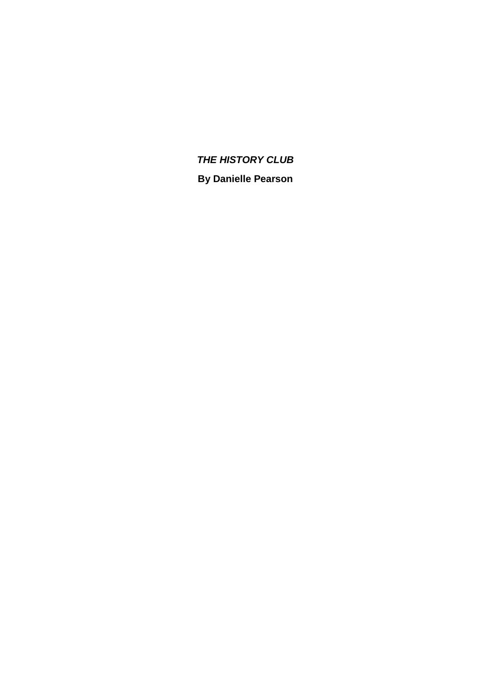# *THE HISTORY CLUB* **By Danielle Pearson**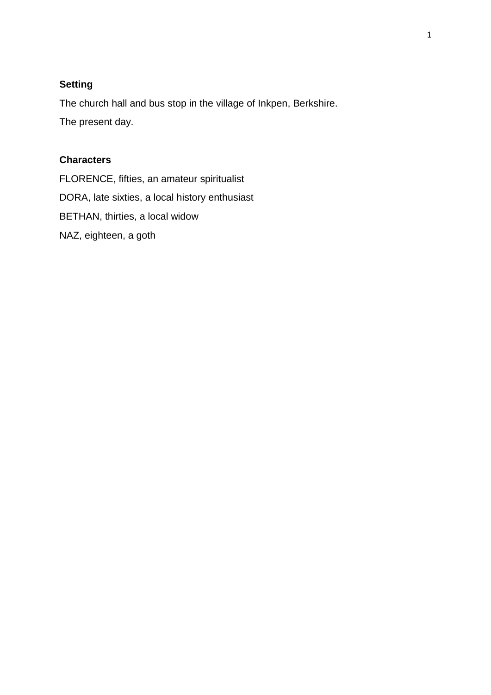## **Setting**

The church hall and bus stop in the village of Inkpen, Berkshire.

The present day.

## **Characters**

FLORENCE, fifties, an amateur spiritualist DORA, late sixties, a local history enthusiast BETHAN, thirties, a local widow NAZ, eighteen, a goth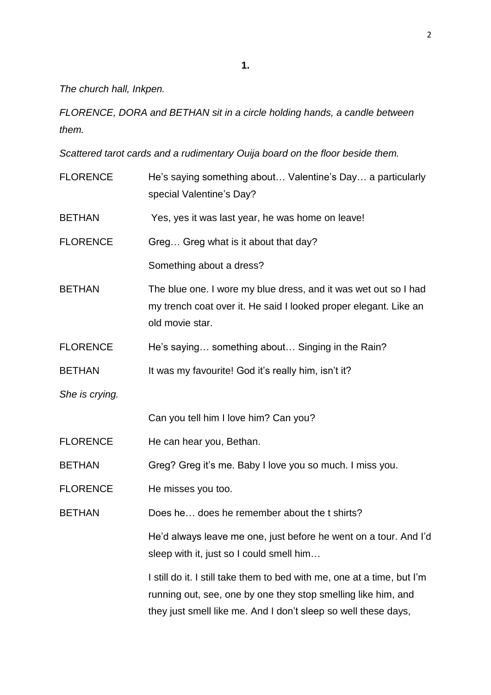**1.**

*The church hall, Inkpen.*

*FLORENCE, DORA and BETHAN sit in a circle holding hands, a candle between them.*

*Scattered tarot cards and a rudimentary Ouija board on the floor beside them.*

| <b>FLORENCE</b> | He's saying something about Valentine's Day a particularly<br>special Valentine's Day?                                                                                                                     |
|-----------------|------------------------------------------------------------------------------------------------------------------------------------------------------------------------------------------------------------|
| <b>BETHAN</b>   | Yes, yes it was last year, he was home on leave!                                                                                                                                                           |
| <b>FLORENCE</b> | Greg Greg what is it about that day?                                                                                                                                                                       |
|                 | Something about a dress?                                                                                                                                                                                   |
| <b>BETHAN</b>   | The blue one. I wore my blue dress, and it was wet out so I had<br>my trench coat over it. He said I looked proper elegant. Like an<br>old movie star.                                                     |
| <b>FLORENCE</b> | He's saying something about Singing in the Rain?                                                                                                                                                           |
| <b>BETHAN</b>   | It was my favourite! God it's really him, isn't it?                                                                                                                                                        |
| She is crying.  |                                                                                                                                                                                                            |
|                 | Can you tell him I love him? Can you?                                                                                                                                                                      |
| <b>FLORENCE</b> | He can hear you, Bethan.                                                                                                                                                                                   |
| <b>BETHAN</b>   | Greg? Greg it's me. Baby I love you so much. I miss you.                                                                                                                                                   |
| <b>FLORENCE</b> | He misses you too.                                                                                                                                                                                         |
| <b>BETHAN</b>   | Does he does he remember about the t shirts?                                                                                                                                                               |
|                 | He'd always leave me one, just before he went on a tour. And I'd<br>sleep with it, just so I could smell him                                                                                               |
|                 | I still do it. I still take them to bed with me, one at a time, but I'm<br>running out, see, one by one they stop smelling like him, and<br>they just smell like me. And I don't sleep so well these days, |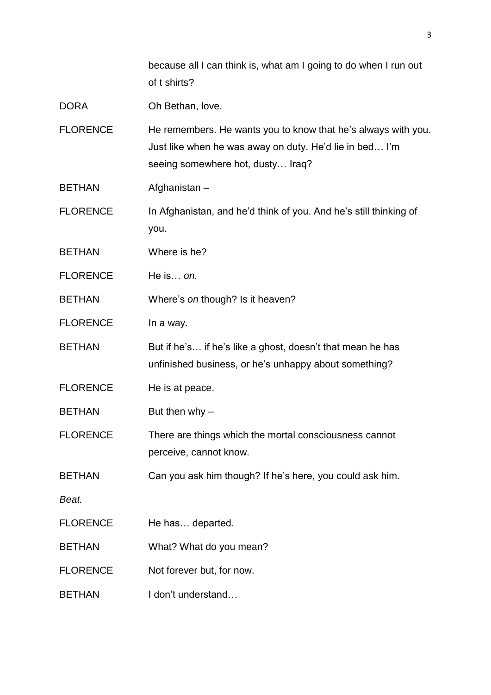because all I can think is, what am I going to do when I run out of t shirts?

| <b>DORA</b> | Oh Bethan, love. |
|-------------|------------------|
|-------------|------------------|

FLORENCE He remembers. He wants you to know that he's always with you. Just like when he was away on duty. He'd lie in bed… I'm seeing somewhere hot, dusty… Iraq?

BETHAN Afghanistan –

- FLORENCE In Afghanistan, and he'd think of you. And he's still thinking of you.
- BETHAN Where is he?
- FLORENCE He is… *on.*

BETHAN Where's *on* though? Is it heaven?

FLORENCE In a way.

BETHAN But if he's... if he's like a ghost, doesn't that mean he has unfinished business, or he's unhappy about something?

FLORENCE He is at peace.

BETHAN But then why –

FLORENCE There are things which the mortal consciousness cannot perceive, cannot know.

BETHAN Can you ask him though? If he's here, you could ask him.

*Beat.*

- FLORENCE He has... departed.
- BETHAN What? What do you mean?
- FLORENCE Not forever but, for now.
- BETHAN I don't understand...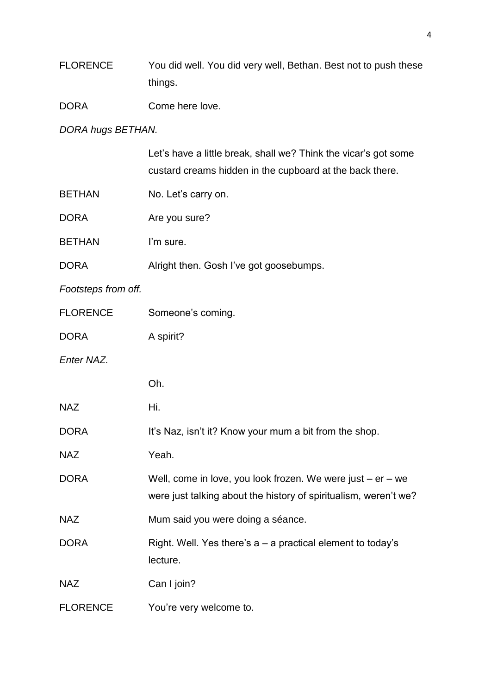| <b>FLORENCE</b> | You did well. You did very well, Bethan. Best not to push these |
|-----------------|-----------------------------------------------------------------|
|                 | things.                                                         |

DORA Come here love.

*DORA hugs BETHAN.*

|                     | Let's have a little break, shall we? Think the vicar's got some<br>custard creams hidden in the cupboard at the back there.         |
|---------------------|-------------------------------------------------------------------------------------------------------------------------------------|
| <b>BETHAN</b>       | No. Let's carry on.                                                                                                                 |
| <b>DORA</b>         | Are you sure?                                                                                                                       |
| <b>BETHAN</b>       | I'm sure.                                                                                                                           |
| <b>DORA</b>         | Alright then. Gosh I've got goosebumps.                                                                                             |
| Footsteps from off. |                                                                                                                                     |
| <b>FLORENCE</b>     | Someone's coming.                                                                                                                   |
| <b>DORA</b>         | A spirit?                                                                                                                           |
| Enter NAZ.          |                                                                                                                                     |
|                     | Oh.                                                                                                                                 |
| <b>NAZ</b>          | Hi.                                                                                                                                 |
| <b>DORA</b>         | It's Naz, isn't it? Know your mum a bit from the shop.                                                                              |
| <b>NAZ</b>          | Yeah.                                                                                                                               |
| <b>DORA</b>         | Well, come in love, you look frozen. We were just $-$ er $-$ we<br>were just talking about the history of spiritualism, weren't we? |
| <b>NAZ</b>          | Mum said you were doing a séance.                                                                                                   |
| <b>DORA</b>         | Right. Well. Yes there's $a - a$ practical element to today's<br>lecture.                                                           |
| <b>NAZ</b>          | Can I join?                                                                                                                         |
| <b>FLORENCE</b>     | You're very welcome to.                                                                                                             |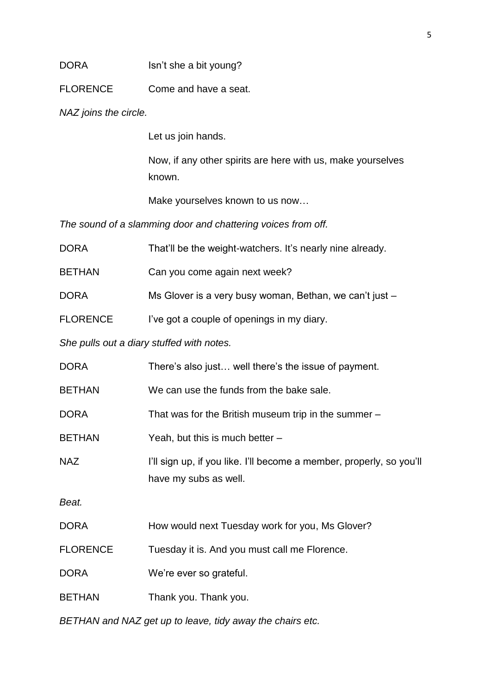## DORA Isn't she a bit young?

FLORENCE Come and have a seat.

*NAZ joins the circle.* 

Let us join hands.

Now, if any other spirits are here with us, make yourselves known.

Make yourselves known to us now…

*The sound of a slamming door and chattering voices from off.*

| DORA            | That'll be the weight-watchers. It's nearly nine already.                                     |
|-----------------|-----------------------------------------------------------------------------------------------|
| <b>BETHAN</b>   | Can you come again next week?                                                                 |
| <b>DORA</b>     | Ms Glover is a very busy woman, Bethan, we can't just -                                       |
| <b>FLORENCE</b> | I've got a couple of openings in my diary.                                                    |
|                 | She pulls out a diary stuffed with notes.                                                     |
| DORA            | There's also just well there's the issue of payment.                                          |
| <b>BETHAN</b>   | We can use the funds from the bake sale.                                                      |
| <b>DORA</b>     | That was for the British museum trip in the summer -                                          |
| <b>BETHAN</b>   | Yeah, but this is much better -                                                               |
| <b>NAZ</b>      | I'll sign up, if you like. I'll become a member, properly, so you'll<br>have my subs as well. |
| Beat.           |                                                                                               |
| DORA            | How would next Tuesday work for you, Ms Glover?                                               |
| <b>FLORENCE</b> | Tuesday it is. And you must call me Florence.                                                 |
| DORA            | We're ever so grateful.                                                                       |
| <b>BETHAN</b>   | Thank you. Thank you.                                                                         |
|                 |                                                                                               |

*BETHAN and NAZ get up to leave, tidy away the chairs etc.*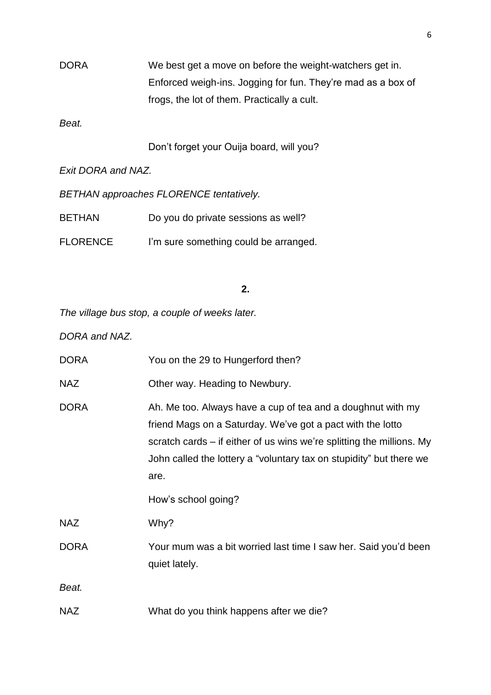DORA We best get a move on before the weight-watchers get in. Enforced weigh-ins. Jogging for fun. They're mad as a box of frogs, the lot of them. Practically a cult.

*Beat.*

Don't forget your Ouija board, will you?

*Exit DORA and NAZ.*

*BETHAN approaches FLORENCE tentatively.*

BETHAN Do you do private sessions as well?

FLORENCE I'm sure something could be arranged.

#### **2.**

*The village bus stop, a couple of weeks later.*

*DORA and NAZ.*

| <b>DORA</b> | You on the 29 to Hungerford then?                                                                                                                                                                                                                                                 |
|-------------|-----------------------------------------------------------------------------------------------------------------------------------------------------------------------------------------------------------------------------------------------------------------------------------|
| <b>NAZ</b>  | Other way. Heading to Newbury.                                                                                                                                                                                                                                                    |
| <b>DORA</b> | Ah. Me too. Always have a cup of tea and a doughnut with my<br>friend Mags on a Saturday. We've got a pact with the lotto<br>scratch cards – if either of us wins we're splitting the millions. My<br>John called the lottery a "voluntary tax on stupidity" but there we<br>are. |
|             | How's school going?                                                                                                                                                                                                                                                               |
| <b>NAZ</b>  | Why?                                                                                                                                                                                                                                                                              |
| <b>DORA</b> | Your mum was a bit worried last time I saw her. Said you'd been<br>quiet lately.                                                                                                                                                                                                  |
| Beat.       |                                                                                                                                                                                                                                                                                   |
| <b>NAZ</b>  | What do you think happens after we die?                                                                                                                                                                                                                                           |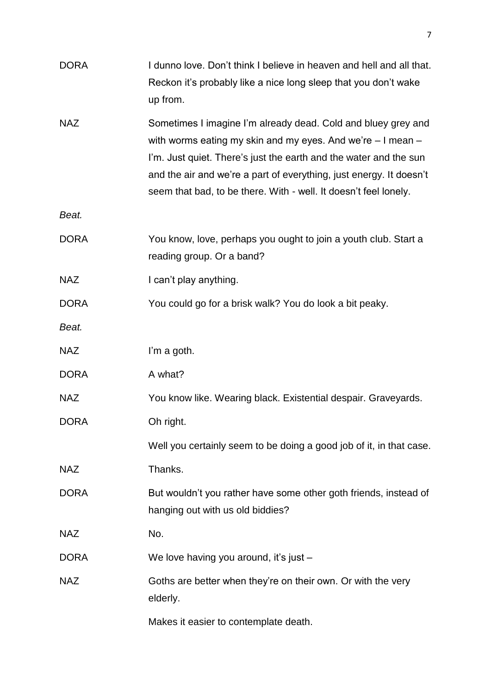| <b>DORA</b> | I dunno love. Don't think I believe in heaven and hell and all that.<br>Reckon it's probably like a nice long sleep that you don't wake<br>up from.                                                                                                                                                                                             |
|-------------|-------------------------------------------------------------------------------------------------------------------------------------------------------------------------------------------------------------------------------------------------------------------------------------------------------------------------------------------------|
| <b>NAZ</b>  | Sometimes I imagine I'm already dead. Cold and bluey grey and<br>with worms eating my skin and my eyes. And we're $-1$ mean $-$<br>I'm. Just quiet. There's just the earth and the water and the sun<br>and the air and we're a part of everything, just energy. It doesn't<br>seem that bad, to be there. With - well. It doesn't feel lonely. |
| Beat.       |                                                                                                                                                                                                                                                                                                                                                 |
| <b>DORA</b> | You know, love, perhaps you ought to join a youth club. Start a<br>reading group. Or a band?                                                                                                                                                                                                                                                    |
| <b>NAZ</b>  | I can't play anything.                                                                                                                                                                                                                                                                                                                          |
| <b>DORA</b> | You could go for a brisk walk? You do look a bit peaky.                                                                                                                                                                                                                                                                                         |
| Beat.       |                                                                                                                                                                                                                                                                                                                                                 |
| <b>NAZ</b>  | I'm a goth.                                                                                                                                                                                                                                                                                                                                     |
| <b>DORA</b> | A what?                                                                                                                                                                                                                                                                                                                                         |
| <b>NAZ</b>  | You know like. Wearing black. Existential despair. Graveyards.                                                                                                                                                                                                                                                                                  |
| <b>DORA</b> | Oh right.                                                                                                                                                                                                                                                                                                                                       |
|             | Well you certainly seem to be doing a good job of it, in that case.                                                                                                                                                                                                                                                                             |
| <b>NAZ</b>  | Thanks.                                                                                                                                                                                                                                                                                                                                         |
| <b>DORA</b> | But wouldn't you rather have some other goth friends, instead of<br>hanging out with us old biddies?                                                                                                                                                                                                                                            |
| <b>NAZ</b>  | No.                                                                                                                                                                                                                                                                                                                                             |
| <b>DORA</b> | We love having you around, it's just -                                                                                                                                                                                                                                                                                                          |
| <b>NAZ</b>  | Goths are better when they're on their own. Or with the very<br>elderly.                                                                                                                                                                                                                                                                        |
|             | Makes it easier to contemplate death.                                                                                                                                                                                                                                                                                                           |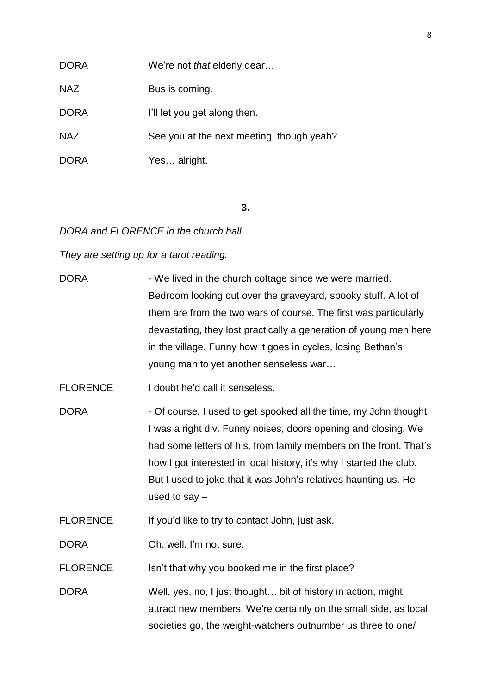### DORA We're not *that* elderly dear…

NAZ Bus is coming.

DORA **I'll let you get along then.** 

NAZ See you at the next meeting, though yeah?

DORA Yes... alright.

#### **3.**

*DORA and FLORENCE in the church hall.*

*They are setting up for a tarot reading.*

| <b>DORA</b>     | - We lived in the church cottage since we were married.             |
|-----------------|---------------------------------------------------------------------|
|                 | Bedroom looking out over the graveyard, spooky stuff. A lot of      |
|                 | them are from the two wars of course. The first was particularly    |
|                 | devastating, they lost practically a generation of young men here   |
|                 | in the village. Funny how it goes in cycles, losing Bethan's        |
|                 | young man to yet another senseless war                              |
| <b>FLORENCE</b> | I doubt he'd call it senseless.                                     |
| <b>DORA</b>     | - Of course, I used to get spooked all the time, my John thought    |
|                 | I was a right div. Funny noises, doors opening and closing. We      |
|                 | had some letters of his, from family members on the front. That's   |
|                 | how I got interested in local history, it's why I started the club. |
|                 | But I used to joke that it was John's relatives haunting us. He     |
|                 | used to say $-$                                                     |
| <b>FLORENCE</b> | If you'd like to try to contact John, just ask.                     |
| <b>DORA</b>     | Oh, well. I'm not sure.                                             |
| <b>FLORENCE</b> | Isn't that why you booked me in the first place?                    |
|                 |                                                                     |

DORA Well, yes, no, I just thought... bit of history in action, might attract new members. We're certainly on the small side, as local societies go, the weight-watchers outnumber us three to one/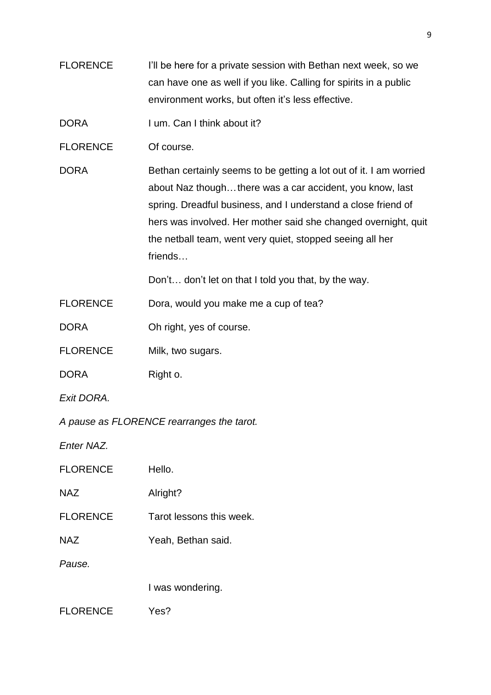FLORENCE I'll be here for a private session with Bethan next week, so we can have one as well if you like. Calling for spirits in a public environment works, but often it's less effective.

DORA I um. Can I think about it?

FLORENCE Of course.

DORA Bethan certainly seems to be getting a lot out of it. I am worried about Naz though…there was a car accident, you know, last spring. Dreadful business, and I understand a close friend of hers was involved. Her mother said she changed overnight, quit the netball team, went very quiet, stopped seeing all her friends…

Don't… don't let on that I told you that, by the way.

FLORENCE Dora, would you make me a cup of tea?

DORA Oh right, yes of course.

FLORENCE Milk, two sugars.

DORA Right o.

*Exit DORA.*

*A pause as FLORENCE rearranges the tarot.*

*Enter NAZ.*

FLORENCE Hello.

NAZ Alright?

- FLORENCE Tarot lessons this week.
- NAZ Yeah, Bethan said.

*Pause.*

I was wondering.

FLORENCE Yes?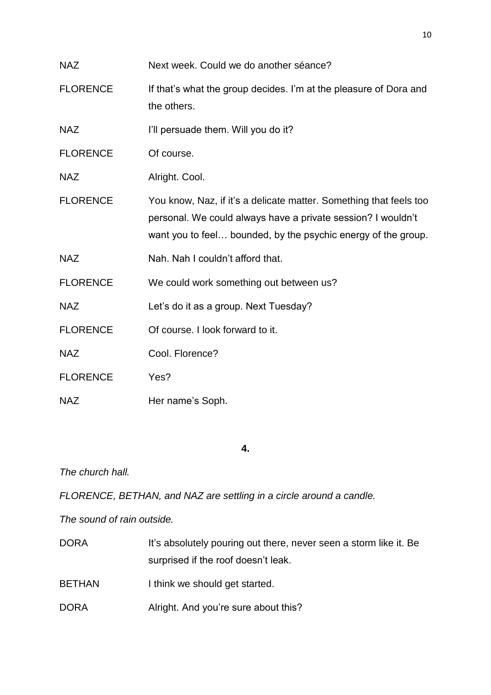| <b>NAZ</b>      | Next week. Could we do another séance?                                                                                                                                                              |
|-----------------|-----------------------------------------------------------------------------------------------------------------------------------------------------------------------------------------------------|
| <b>FLORENCE</b> | If that's what the group decides. I'm at the pleasure of Dora and<br>the others.                                                                                                                    |
| <b>NAZ</b>      | I'll persuade them. Will you do it?                                                                                                                                                                 |
| <b>FLORENCE</b> | Of course.                                                                                                                                                                                          |
| <b>NAZ</b>      | Alright. Cool.                                                                                                                                                                                      |
| <b>FLORENCE</b> | You know, Naz, if it's a delicate matter. Something that feels too<br>personal. We could always have a private session? I wouldn't<br>want you to feel bounded, by the psychic energy of the group. |
| <b>NAZ</b>      | Nah. Nah I couldn't afford that.                                                                                                                                                                    |
| <b>FLORENCE</b> | We could work something out between us?                                                                                                                                                             |
| <b>NAZ</b>      | Let's do it as a group. Next Tuesday?                                                                                                                                                               |
| <b>FLORENCE</b> | Of course. I look forward to it.                                                                                                                                                                    |
| <b>NAZ</b>      | Cool. Florence?                                                                                                                                                                                     |
| <b>FLORENCE</b> | Yes?                                                                                                                                                                                                |
| <b>NAZ</b>      | Her name's Soph.                                                                                                                                                                                    |

**4.**

*The church hall.*

*FLORENCE, BETHAN, and NAZ are settling in a circle around a candle.*

*The sound of rain outside.*

| <b>DORA</b>   | It's absolutely pouring out there, never seen a storm like it. Be |
|---------------|-------------------------------------------------------------------|
|               | surprised if the roof doesn't leak.                               |
| <b>BETHAN</b> | I think we should get started.                                    |
| <b>DORA</b>   | Alright. And you're sure about this?                              |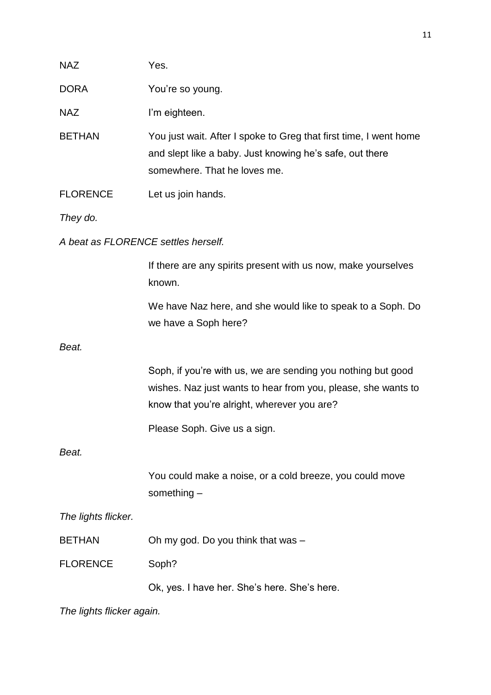| <b>NAZ</b>          | Yes.                                                                                                                                                                         |  |  |
|---------------------|------------------------------------------------------------------------------------------------------------------------------------------------------------------------------|--|--|
| <b>DORA</b>         | You're so young.                                                                                                                                                             |  |  |
| NAZ                 | I'm eighteen.                                                                                                                                                                |  |  |
| <b>BETHAN</b>       | You just wait. After I spoke to Greg that first time, I went home<br>and slept like a baby. Just knowing he's safe, out there<br>somewhere. That he loves me.                |  |  |
| <b>FLORENCE</b>     | Let us join hands.                                                                                                                                                           |  |  |
| They do.            |                                                                                                                                                                              |  |  |
|                     | A beat as FLORENCE settles herself.                                                                                                                                          |  |  |
|                     | If there are any spirits present with us now, make yourselves<br>known.                                                                                                      |  |  |
|                     | We have Naz here, and she would like to speak to a Soph. Do<br>we have a Soph here?                                                                                          |  |  |
| Beat.               |                                                                                                                                                                              |  |  |
|                     | Soph, if you're with us, we are sending you nothing but good<br>wishes. Naz just wants to hear from you, please, she wants to<br>know that you're alright, wherever you are? |  |  |
|                     | Please Soph. Give us a sign.                                                                                                                                                 |  |  |
| Beat.               |                                                                                                                                                                              |  |  |
|                     | You could make a noise, or a cold breeze, you could move<br>something $-$                                                                                                    |  |  |
| The lights flicker. |                                                                                                                                                                              |  |  |
| <b>BETHAN</b>       | Oh my god. Do you think that was -                                                                                                                                           |  |  |
| <b>FLORENCE</b>     | Soph?                                                                                                                                                                        |  |  |
|                     | Ok, yes. I have her. She's here. She's here.                                                                                                                                 |  |  |

*The lights flicker again.*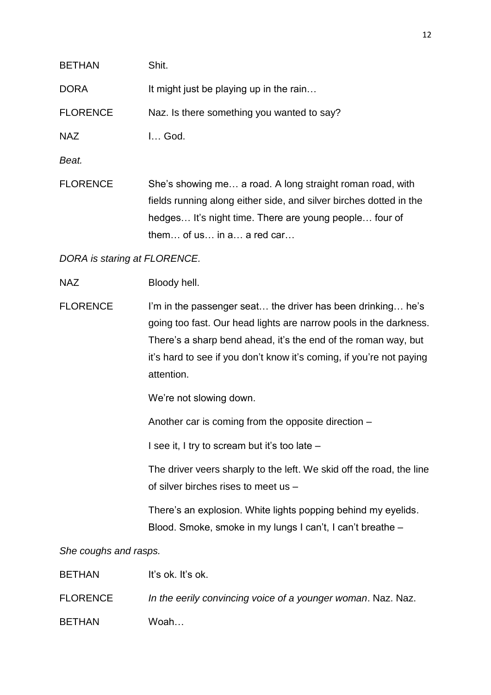| <b>BETHAN</b>                | Shit.                                                                                                                                                                                                                                                                                    |  |
|------------------------------|------------------------------------------------------------------------------------------------------------------------------------------------------------------------------------------------------------------------------------------------------------------------------------------|--|
| <b>DORA</b>                  | It might just be playing up in the rain                                                                                                                                                                                                                                                  |  |
| <b>FLORENCE</b>              | Naz. Is there something you wanted to say?                                                                                                                                                                                                                                               |  |
| <b>NAZ</b>                   | I God.                                                                                                                                                                                                                                                                                   |  |
| Beat.                        |                                                                                                                                                                                                                                                                                          |  |
| <b>FLORENCE</b>              | She's showing me a road. A long straight roman road, with<br>fields running along either side, and silver birches dotted in the<br>hedges It's night time. There are young people four of<br>them of us in a a red car                                                                   |  |
| DORA is staring at FLORENCE. |                                                                                                                                                                                                                                                                                          |  |
| <b>NAZ</b>                   | Bloody hell.                                                                                                                                                                                                                                                                             |  |
| <b>FLORENCE</b>              | I'm in the passenger seat the driver has been drinking he's<br>going too fast. Our head lights are narrow pools in the darkness.<br>There's a sharp bend ahead, it's the end of the roman way, but<br>it's hard to see if you don't know it's coming, if you're not paying<br>attention. |  |
|                              | We're not slowing down.                                                                                                                                                                                                                                                                  |  |
|                              | Another car is coming from the opposite direction -                                                                                                                                                                                                                                      |  |
|                              | I see it, I try to scream but it's too late -                                                                                                                                                                                                                                            |  |
|                              | The driver veers sharply to the left. We skid off the road, the line<br>of silver birches rises to meet us -                                                                                                                                                                             |  |
|                              | There's an explosion. White lights popping behind my eyelids.<br>Blood. Smoke, smoke in my lungs I can't, I can't breathe -                                                                                                                                                              |  |
| She coughs and rasps.        |                                                                                                                                                                                                                                                                                          |  |
| <b>BETHAN</b>                | It's ok. It's ok.                                                                                                                                                                                                                                                                        |  |
| <b>FLORENCE</b>              | In the eerily convincing voice of a younger woman. Naz. Naz.                                                                                                                                                                                                                             |  |

BETHAN Woah…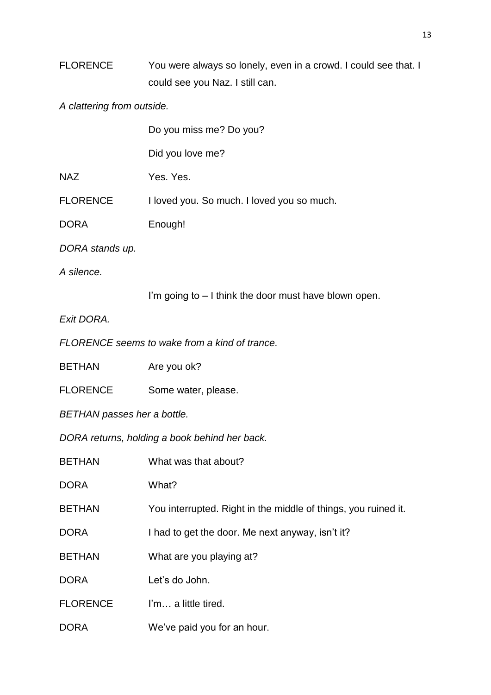## FLORENCE You were always so lonely, even in a crowd. I could see that. I could see you Naz. I still can.

*A clattering from outside.*

|                             | Do you miss me? Do you?                                        |
|-----------------------------|----------------------------------------------------------------|
|                             | Did you love me?                                               |
| <b>NAZ</b>                  | Yes. Yes.                                                      |
| <b>FLORENCE</b>             | I loved you. So much. I loved you so much.                     |
| <b>DORA</b>                 | Enough!                                                        |
| DORA stands up.             |                                                                |
| A silence.                  |                                                                |
|                             | I'm going to $-1$ think the door must have blown open.         |
| Exit DORA.                  |                                                                |
|                             | FLORENCE seems to wake from a kind of trance.                  |
| <b>BETHAN</b>               | Are you ok?                                                    |
| <b>FLORENCE</b>             | Some water, please.                                            |
| BETHAN passes her a bottle. |                                                                |
|                             | DORA returns, holding a book behind her back.                  |
| <b>BETHAN</b>               | What was that about?                                           |
| <b>DORA</b>                 | What?                                                          |
| <b>BETHAN</b>               | You interrupted. Right in the middle of things, you ruined it. |
| <b>DORA</b>                 | I had to get the door. Me next anyway, isn't it?               |
| <b>BETHAN</b>               | What are you playing at?                                       |
| <b>DORA</b>                 | Let's do John.                                                 |
| <b>FLORENCE</b>             | I'm a little tired.                                            |
| <b>DORA</b>                 | We've paid you for an hour.                                    |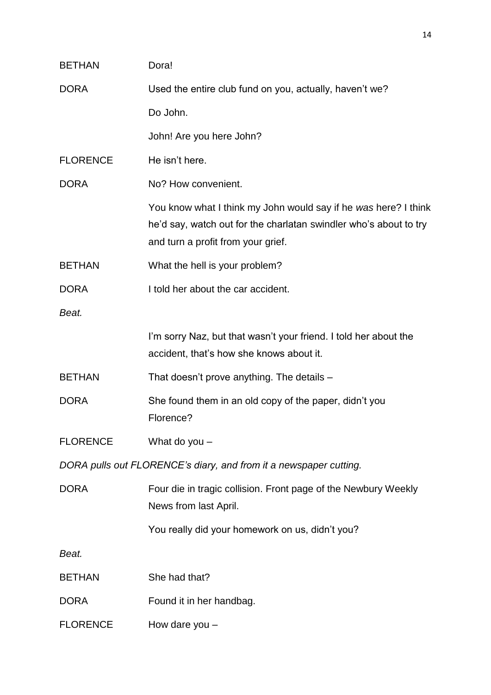| <b>BETHAN</b>                                                     | Dora!                                                                                                                                                                      |  |
|-------------------------------------------------------------------|----------------------------------------------------------------------------------------------------------------------------------------------------------------------------|--|
| <b>DORA</b>                                                       | Used the entire club fund on you, actually, haven't we?                                                                                                                    |  |
|                                                                   | Do John.                                                                                                                                                                   |  |
|                                                                   | John! Are you here John?                                                                                                                                                   |  |
| <b>FLORENCE</b>                                                   | He isn't here.                                                                                                                                                             |  |
| <b>DORA</b>                                                       | No? How convenient.                                                                                                                                                        |  |
|                                                                   | You know what I think my John would say if he was here? I think<br>he'd say, watch out for the charlatan swindler who's about to try<br>and turn a profit from your grief. |  |
| <b>BETHAN</b>                                                     | What the hell is your problem?                                                                                                                                             |  |
| <b>DORA</b>                                                       | I told her about the car accident.                                                                                                                                         |  |
| Beat.                                                             |                                                                                                                                                                            |  |
|                                                                   | I'm sorry Naz, but that wasn't your friend. I told her about the<br>accident, that's how she knows about it.                                                               |  |
| <b>BETHAN</b>                                                     | That doesn't prove anything. The details -                                                                                                                                 |  |
| <b>DORA</b>                                                       | She found them in an old copy of the paper, didn't you<br>Florence?                                                                                                        |  |
| <b>FLORENCE</b>                                                   | What do you $-$                                                                                                                                                            |  |
| DORA pulls out FLORENCE's diary, and from it a newspaper cutting. |                                                                                                                                                                            |  |
| <b>DORA</b>                                                       | Four die in tragic collision. Front page of the Newbury Weekly<br>News from last April.                                                                                    |  |
|                                                                   | You really did your homework on us, didn't you?                                                                                                                            |  |
| Beat.                                                             |                                                                                                                                                                            |  |
| <b>BETHAN</b>                                                     | She had that?                                                                                                                                                              |  |
| <b>DORA</b>                                                       | Found it in her handbag.                                                                                                                                                   |  |
| <b>FLORENCE</b>                                                   | How dare you $-$                                                                                                                                                           |  |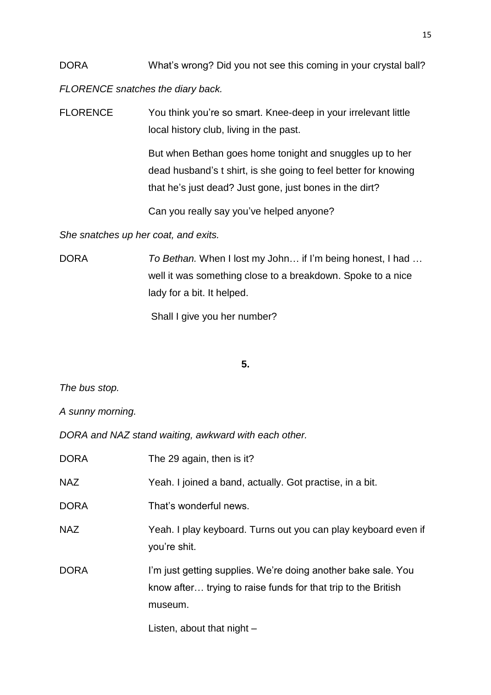DORA What's wrong? Did you not see this coming in your crystal ball?

*FLORENCE snatches the diary back.* 

FLORENCE You think you're so smart. Knee-deep in your irrelevant little local history club, living in the past.

> But when Bethan goes home tonight and snuggles up to her dead husband's t shirt, is she going to feel better for knowing that he's just dead? Just gone, just bones in the dirt?

Can you really say you've helped anyone?

*She snatches up her coat, and exits.* 

DORA *To Bethan.* When I lost my John… if I'm being honest, I had … well it was something close to a breakdown. Spoke to a nice lady for a bit. It helped.

Shall I give you her number?

## **5.**

*The bus stop.*

*A sunny morning.*

*DORA and NAZ stand waiting, awkward with each other.*

| <b>DORA</b> | The 29 again, then is it?                                                                                                                 |
|-------------|-------------------------------------------------------------------------------------------------------------------------------------------|
| <b>NAZ</b>  | Yeah. I joined a band, actually. Got practise, in a bit.                                                                                  |
| <b>DORA</b> | That's wonderful news.                                                                                                                    |
| <b>NAZ</b>  | Yeah. I play keyboard. Turns out you can play keyboard even if<br>you're shit.                                                            |
| <b>DORA</b> | I'm just getting supplies. We're doing another bake sale. You<br>know after trying to raise funds for that trip to the British<br>museum. |
|             |                                                                                                                                           |

Listen, about that night –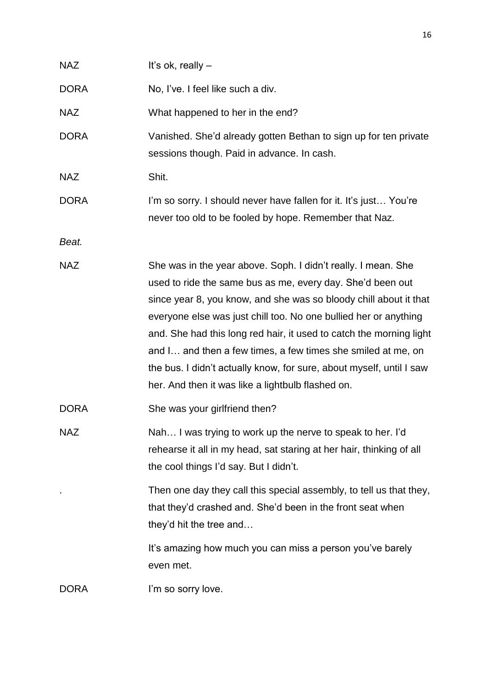| <b>NAZ</b>  | It's ok, really $-$                                                                                                                                                                                                                                                                                                                                                                                                                                                                                                                      |
|-------------|------------------------------------------------------------------------------------------------------------------------------------------------------------------------------------------------------------------------------------------------------------------------------------------------------------------------------------------------------------------------------------------------------------------------------------------------------------------------------------------------------------------------------------------|
| <b>DORA</b> | No, I've. I feel like such a div.                                                                                                                                                                                                                                                                                                                                                                                                                                                                                                        |
| <b>NAZ</b>  | What happened to her in the end?                                                                                                                                                                                                                                                                                                                                                                                                                                                                                                         |
| <b>DORA</b> | Vanished. She'd already gotten Bethan to sign up for ten private<br>sessions though. Paid in advance. In cash.                                                                                                                                                                                                                                                                                                                                                                                                                           |
| <b>NAZ</b>  | Shit.                                                                                                                                                                                                                                                                                                                                                                                                                                                                                                                                    |
| <b>DORA</b> | I'm so sorry. I should never have fallen for it. It's just You're<br>never too old to be fooled by hope. Remember that Naz.                                                                                                                                                                                                                                                                                                                                                                                                              |
| Beat.       |                                                                                                                                                                                                                                                                                                                                                                                                                                                                                                                                          |
| <b>NAZ</b>  | She was in the year above. Soph. I didn't really. I mean. She<br>used to ride the same bus as me, every day. She'd been out<br>since year 8, you know, and she was so bloody chill about it that<br>everyone else was just chill too. No one bullied her or anything<br>and. She had this long red hair, it used to catch the morning light<br>and I and then a few times, a few times she smiled at me, on<br>the bus. I didn't actually know, for sure, about myself, until I saw<br>her. And then it was like a lightbulb flashed on. |
| <b>DORA</b> | She was your girlfriend then?                                                                                                                                                                                                                                                                                                                                                                                                                                                                                                            |
| <b>NAZ</b>  | Nah I was trying to work up the nerve to speak to her. I'd<br>rehearse it all in my head, sat staring at her hair, thinking of all<br>the cool things I'd say. But I didn't.                                                                                                                                                                                                                                                                                                                                                             |
|             | Then one day they call this special assembly, to tell us that they,<br>that they'd crashed and. She'd been in the front seat when<br>they'd hit the tree and                                                                                                                                                                                                                                                                                                                                                                             |
|             | It's amazing how much you can miss a person you've barely<br>even met.                                                                                                                                                                                                                                                                                                                                                                                                                                                                   |
| <b>DORA</b> | I'm so sorry love.                                                                                                                                                                                                                                                                                                                                                                                                                                                                                                                       |